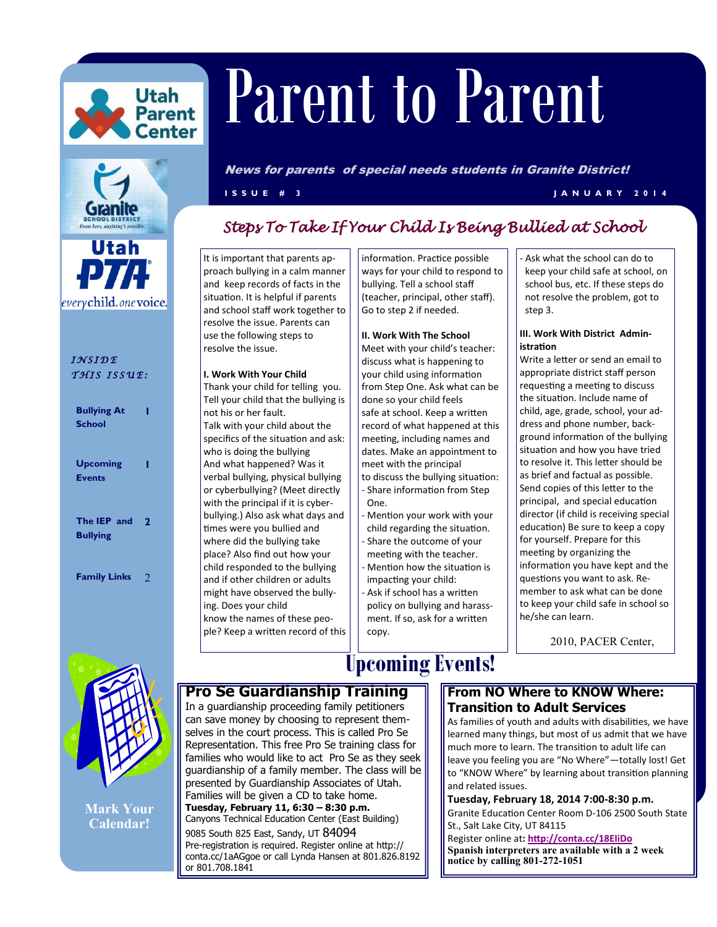



everychild.onevoice.

### *I N S I D E T H I S I S S U E :*

| <b>Bullying At</b><br><b>School</b> |   |
|-------------------------------------|---|
| <b>Upcoming</b><br><b>Events</b>    |   |
| The IEP and<br><b>Bullying</b>      | 2 |

**Family Links** 2

# Parent Parent to Parent

News for parents of special needs students in Granite District!

**I S S U E # 3 J A N U A R Y 2 0 1 4**

## *Steps To Take If Your Child Is Being Bullied at School*

It is important that parents approach bullying in a calm manner and keep records of facts in the situation. It is helpful if parents and school staff work together to resolve the issue. Parents can use the following steps to resolve the issue.

#### **I. Work With Your Child**

Thank your child for telling you. Tell your child that the bullying is not his or her fault. Talk with your child about the specifics of the situation and ask: who is doing the bullying And what happened? Was it verbal bullying, physical bullying or cyberbullying? (Meet directly with the principal if it is cyberbullying.) Also ask what days and times were you bullied and where did the bullying take place? Also find out how your child responded to the bullying and if other children or adults might have observed the bullying. Does your child know the names of these people? Keep a written record of this information. Practice possible ways for your child to respond to bullying. Tell a school staff (teacher, principal, other staff). Go to step 2 if needed.

#### **II. Work With The School**

Meet with your child's teacher: discuss what is happening to your child using information from Step One. Ask what can be done so your child feels safe at school. Keep a written record of what happened at this meeting, including names and dates. Make an appointment to meet with the principal to discuss the bullying situation: - Share information from Step One.

- Mention your work with your child regarding the situation. Share the outcome of your meeting with the teacher.
- Mention how the situation is impacting your child:
- Ask if school has a written policy on bullying and harassment. If so, ask for a written copy.

Ask what the school can do to keep your child safe at school, on school bus, etc. If these steps do not resolve the problem, got to step 3.

#### **III. Work With District Administration**

Write a letter or send an email to appropriate district staff person requesting a meeting to discuss the situation. Include name of child, age, grade, school, your address and phone number, background information of the bullying situation and how you have tried to resolve it. This letter should be as brief and factual as possible. Send copies of this letter to the principal, and special education director (if child is receiving special education) Be sure to keep a copy for yourself. Prepare for this meeting by organizing the information you have kept and the questions you want to ask. Remember to ask what can be done to keep your child safe in school so he/she can learn.

2010, PACER Center,



**Mark Your Calendar!**

## **Upcoming Events!**

#### **From NO Where to KNOW Where: Transition to Adult Services**

As families of youth and adults with disabilities, we have learned many things, but most of us admit that we have much more to learn. The transition to adult life can leave you feeling you are "No Where"—totally lost! Get to "KNOW Where" by learning about transition planning and related issues.

**Tuesday, February 18, 2014 7:00-8:30 p.m.**  Granite Education Center Room D-106 2500 South State St., Salt Lake City, UT 84115

Register online at**: <http://conta.cc/18EIiDo> Spanish interpreters are available with a 2 week notice by calling 801-272-1051**

**Pro Se Guardianship Training**  In a guardianship proceeding family petitioners

can save money by choosing to represent themselves in the court process. This is called Pro Se Representation. This free Pro Se training class for families who would like to act Pro Se as they seek guardianship of a family member. The class will be presented by Guardianship Associates of Utah. Families will be given a CD to take home. **Tuesday, February 11, 6:30 – 8:30 p.m.**  Canyons Technical Education Center (East Building) 9085 South 825 East, Sandy, UT 84094 Pre-registration is required. Register online at http:// conta.cc/1aAGgoe or call Lynda Hansen at 801.826.8192 or 801.708.1841